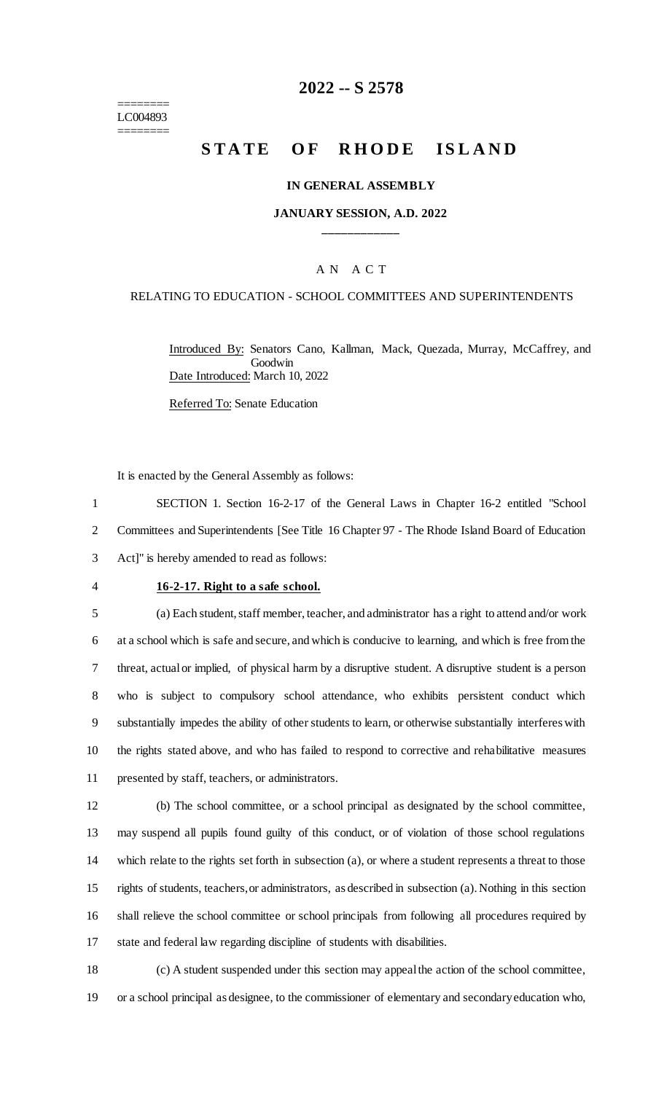======== LC004893 ========

# **2022 -- S 2578**

# **STATE OF RHODE ISLAND**

#### **IN GENERAL ASSEMBLY**

## **JANUARY SESSION, A.D. 2022 \_\_\_\_\_\_\_\_\_\_\_\_**

## A N A C T

#### RELATING TO EDUCATION - SCHOOL COMMITTEES AND SUPERINTENDENTS

Introduced By: Senators Cano, Kallman, Mack, Quezada, Murray, McCaffrey, and Goodwin Date Introduced: March 10, 2022

Referred To: Senate Education

It is enacted by the General Assembly as follows:

1 SECTION 1. Section 16-2-17 of the General Laws in Chapter 16-2 entitled "School 2 Committees and Superintendents [See Title 16 Chapter 97 - The Rhode Island Board of Education 3 Act]" is hereby amended to read as follows:

## 4 **16-2-17. Right to a safe school.**

 (a) Each student, staff member, teacher, and administrator has a right to attend and/or work at a school which is safe and secure, and which is conducive to learning, and which is free from the threat, actual or implied, of physical harm by a disruptive student. A disruptive student is a person who is subject to compulsory school attendance, who exhibits persistent conduct which substantially impedes the ability of other students to learn, or otherwise substantially interferes with the rights stated above, and who has failed to respond to corrective and rehabilitative measures presented by staff, teachers, or administrators.

 (b) The school committee, or a school principal as designated by the school committee, may suspend all pupils found guilty of this conduct, or of violation of those school regulations which relate to the rights set forth in subsection (a), or where a student represents a threat to those rights of students, teachers, or administrators, as described in subsection (a). Nothing in this section shall relieve the school committee or school principals from following all procedures required by state and federal law regarding discipline of students with disabilities.

18 (c) A student suspended under this section may appeal the action of the school committee, 19 or a school principal as designee, to the commissioner of elementary and secondary education who,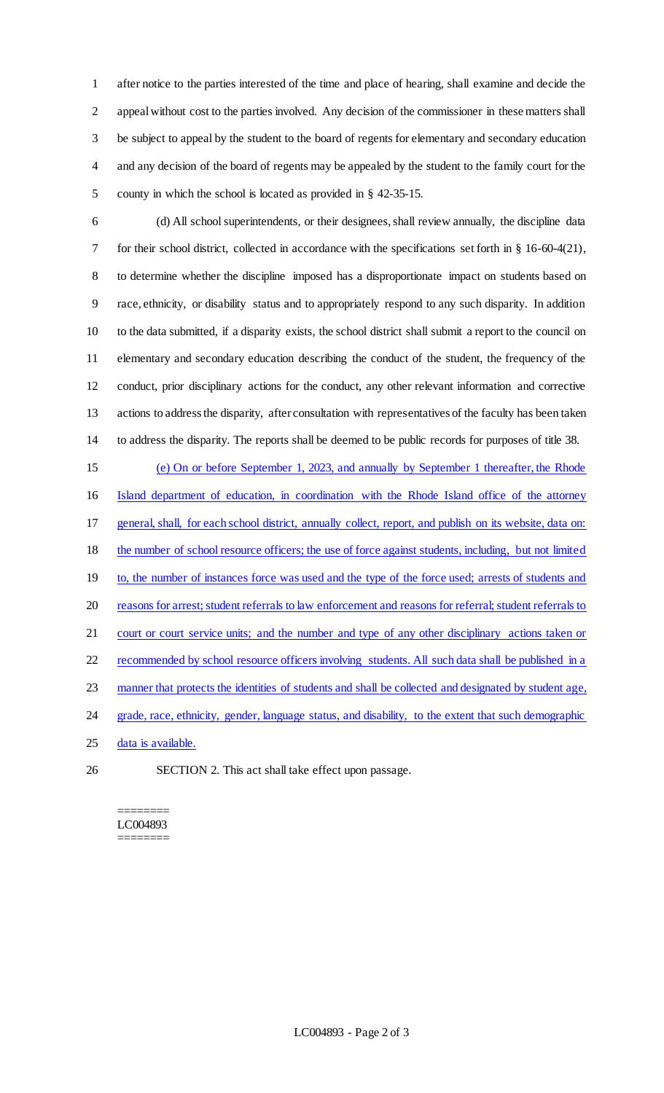after notice to the parties interested of the time and place of hearing, shall examine and decide the appeal without cost to the parties involved. Any decision of the commissioner in these matters shall be subject to appeal by the student to the board of regents for elementary and secondary education and any decision of the board of regents may be appealed by the student to the family court for the county in which the school is located as provided in § 42-35-15.

 (d) All school superintendents, or their designees, shall review annually, the discipline data for their school district, collected in accordance with the specifications set forth in § 16-60-4(21), to determine whether the discipline imposed has a disproportionate impact on students based on race, ethnicity, or disability status and to appropriately respond to any such disparity. In addition to the data submitted, if a disparity exists, the school district shall submit a report to the council on elementary and secondary education describing the conduct of the student, the frequency of the conduct, prior disciplinary actions for the conduct, any other relevant information and corrective actions to address the disparity, after consultation with representatives of the faculty has been taken to address the disparity. The reports shall be deemed to be public records for purposes of title 38.

 (e) On or before September 1, 2023, and annually by September 1 thereafter, the Rhode Island department of education, in coordination with the Rhode Island office of the attorney general, shall, for each school district, annually collect, report, and publish on its website, data on: the number of school resource officers; the use of force against students, including, but not limited 19 to, the number of instances force was used and the type of the force used; arrests of students and reasons for arrest; student referrals to law enforcement and reasons for referral; student referrals to court or court service units; and the number and type of any other disciplinary actions taken or 22 recommended by school resource officers involving students. All such data shall be published in a manner that protects the identities of students and shall be collected and designated by student age, 24 grade, race, ethnicity, gender, language status, and disability, to the extent that such demographic 25 data is available.

SECTION 2. This act shall take effect upon passage.

#### ======== LC004893 ========